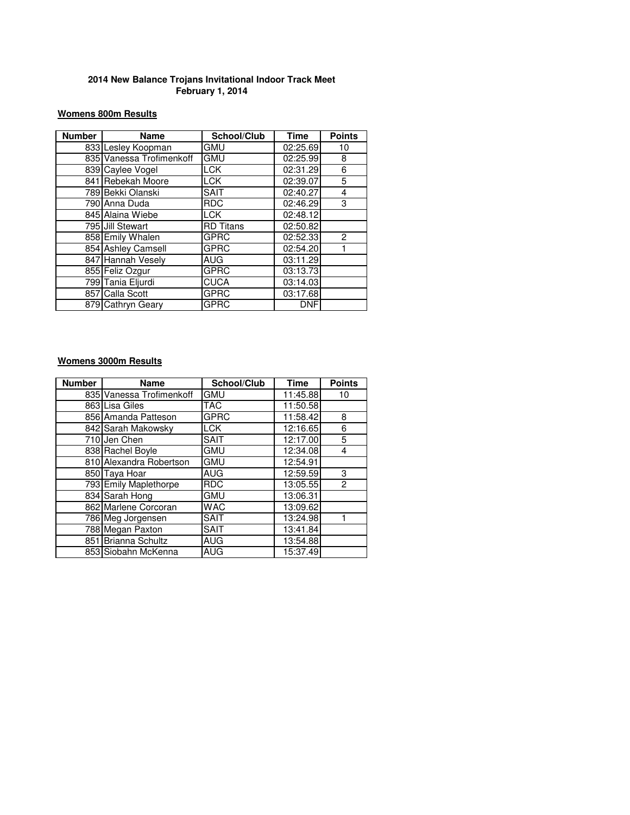## **Womens 800m Results**

| <b>Number</b> | <b>Name</b>              | School/Club      | <b>Time</b> | <b>Points</b> |
|---------------|--------------------------|------------------|-------------|---------------|
|               | 833 Lesley Koopman       | GMU              | 02:25.69    | 10            |
|               | 835 Vanessa Trofimenkoff | <b>GMU</b>       | 02:25.99    | 8             |
|               | 839 Caylee Vogel         | <b>LCK</b>       | 02:31.29    | 6             |
|               | 841 Rebekah Moore        | <b>LCK</b>       | 02:39.07    | 5             |
|               | 789 Bekki Olanski        | <b>SAIT</b>      | 02:40.27    | 4             |
|               | 790 Anna Duda            | <b>RDC</b>       | 02:46.29    | 3             |
|               | 845 Alaina Wiebe         | <b>LCK</b>       | 02:48.12    |               |
|               | 795 Jill Stewart         | <b>RD</b> Titans | 02:50.82    |               |
|               | 858 Emily Whalen         | <b>GPRC</b>      | 02:52.33    | $\mathcal{P}$ |
|               | 854 Ashley Camsell       | GPRC             | 02:54.20    |               |
|               | 847 Hannah Vesely        | <b>AUG</b>       | 03:11.29    |               |
|               | 855 Feliz Ozgur          | <b>GPRC</b>      | 03:13.73    |               |
|               | 799 Tania Eljurdi        | <b>CUCA</b>      | 03:14.03    |               |
|               | 857 Calla Scott          | <b>GPRC</b>      | 03:17.68    |               |
|               | 879 Cathryn Geary        | <b>GPRC</b>      | <b>DNF</b>  |               |

# **Womens 3000m Results**

| <b>Number</b> | <b>Name</b>              | School/Club | <b>Time</b>           | <b>Points</b>  |
|---------------|--------------------------|-------------|-----------------------|----------------|
|               | 835 Vanessa Trofimenkoff | <b>GMU</b>  | 11:45.88              | 10             |
|               | 863 Lisa Giles           | TAC         | 11:50.58              |                |
|               | 856 Amanda Patteson      | <b>GPRC</b> | 11:58.42              | 8              |
|               | 842 Sarah Makowsky       | <b>LCK</b>  | 12:16.65              | 6              |
|               | 710 Jen Chen             | <b>SAIT</b> | 12:17.00              | 5              |
|               | 838 Rachel Boyle         | <b>GMU</b>  | $\overline{12:}34.08$ | 4              |
|               | 810 Alexandra Robertson  | <b>GMU</b>  | 12:54.91              |                |
|               | 850 Taya Hoar            | AUG         | 12:59.59              | 3              |
|               | 793 Emily Maplethorpe    | <b>RDC</b>  | $\overline{13:05.55}$ | $\overline{c}$ |
|               | 834 Sarah Hong           | <b>GMU</b>  | 13:06.31              |                |
|               | 862 Marlene Corcoran     | <b>WAC</b>  | 13:09.62              |                |
|               | 786 Meg Jorgensen        | <b>SAIT</b> | 13:24.98              |                |
|               | 788 Megan Paxton         | <b>SAIT</b> | 13:41.84              |                |
| 8511          | Brianna Schultz          | <b>AUG</b>  | 13:54.88              |                |
|               | 853 Siobahn McKenna      | AUG         | 15:37.49              |                |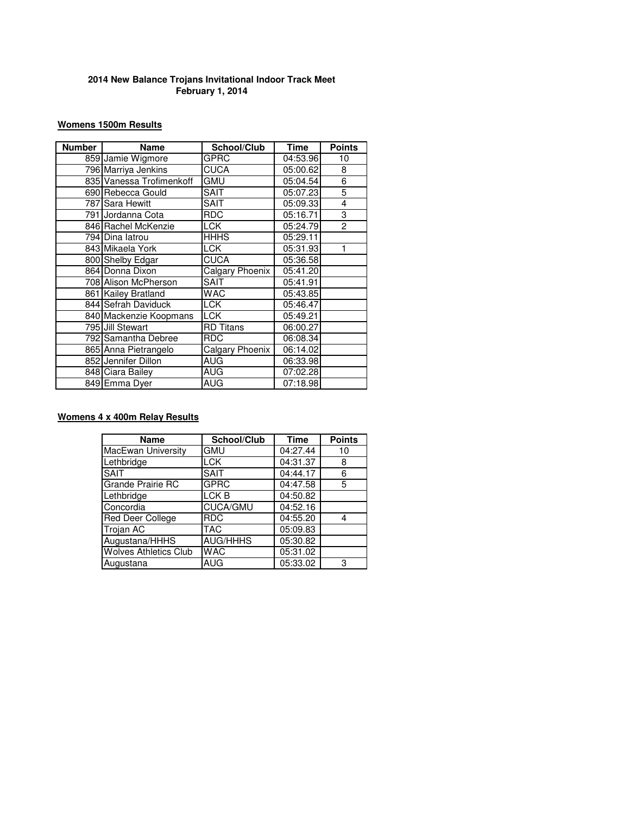## **Womens 1500m Results**

| <b>Number</b> | <b>Name</b>              | School/Club      | <b>Time</b>            | <b>Points</b>  |
|---------------|--------------------------|------------------|------------------------|----------------|
|               | 859 Jamie Wigmore        | GPRC             | 04:53.96               | 10             |
|               | 796 Marriya Jenkins      | <b>CUCA</b>      | 05:00.62               | 8              |
|               | 835 Vanessa Trofimenkoff | GMU              | 05:04.54               | 6              |
|               | 690 Rebecca Gould        | <b>SAIT</b>      | 05:07.23               | 5              |
|               | 787 Sara Hewitt          | SAIT             | 05:09.33               | 4              |
|               | 791 Jordanna Cota        | <b>RDC</b>       | 05:16.71               | 3              |
|               | 846 Rachel McKenzie      | <b>LCK</b>       | 05:24.79               | $\overline{2}$ |
|               | 794 Dina latrou          | <b>HHHS</b>      | 05:29.11               |                |
|               | 843 Mikaela York         | LCK              | 05:31.93               | 1              |
|               | 800 Shelby Edgar         | <b>CUCA</b>      | 05:36.58               |                |
|               | 864 Donna Dixon          | Calgary Phoenix  | 05:41.20               |                |
|               | 708 Alison McPherson     | SAIT             | 05:41.91               |                |
|               | 861 Kailey Bratland      | <b>WAC</b>       | 05:43.85               |                |
|               | 844 Sefrah Daviduck      | <b>LCK</b>       | 05:46.47               |                |
|               | 840 Mackenzie Koopmans   | <b>LCK</b>       | $\overline{05}$ :49.21 |                |
|               | 795 Jill Stewart         | <b>RD</b> Titans | 06:00.27               |                |
|               | 792 Samantha Debree      | <b>RDC</b>       | 06:08.34               |                |
|               | 865 Anna Pietrangelo     | Calgary Phoenix  | 06:14.02               |                |
|               | 852 Jennifer Dillon      | AUG              | 06:33.98               |                |
|               | 848 Ciara Bailey         | <b>AUG</b>       | 07:02.28               |                |
|               | 849 Emma Dyer            | AUG              | 07:18.98               |                |

## **Womens 4 x 400m Relay Results**

| <b>Name</b>                  | School/Club      | <b>Time</b>           | <b>Points</b> |
|------------------------------|------------------|-----------------------|---------------|
| <b>MacEwan University</b>    | <b>GMU</b>       | 04:27.44              | 10            |
| Lethbridge                   | <b>LCK</b>       | 04:31.37              | 8             |
| <b>SAIT</b>                  | <b>SAIT</b>      | $\overline{04:}44.17$ | 6             |
| Grande Prairie RC            | <b>GPRC</b>      | 04:47.58              | 5             |
| Lethbridge                   | LCK <sub>B</sub> | 04:50.82              |               |
| Concordia                    | <b>CUCA/GMU</b>  | 04:52.16              |               |
| Red Deer College             | <b>RDC</b>       | 04:55.20              | 4             |
| Trojan AC                    | <b>TAC</b>       | 05:09.83              |               |
| Augustana/HHHS               | <b>AUG/HHHS</b>  | 05:30.82              |               |
| <b>Wolves Athletics Club</b> | <b>WAC</b>       | 05:31.02              |               |
| Augustana                    | <b>AUG</b>       | 05:33.02              | 3             |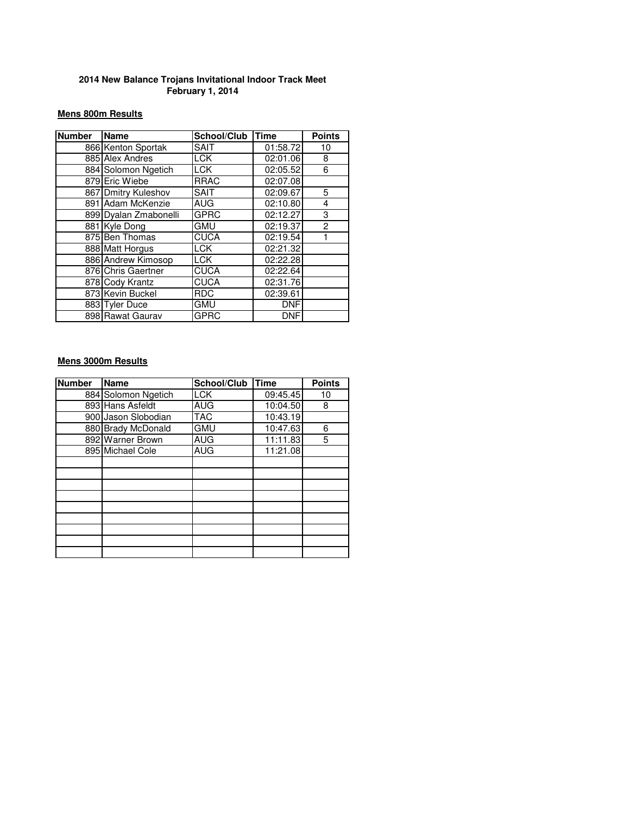## **Mens 800m Results**

| <b>Number</b> | <b>Name</b>           | School/Club | <b>Time</b>           | <b>Points</b>  |
|---------------|-----------------------|-------------|-----------------------|----------------|
|               | 866 Kenton Sportak    | <b>SAIT</b> | 01:58.72              | 10             |
|               | 885 Alex Andres       | <b>LCK</b>  | 02:01.06              | 8              |
|               | 884 Solomon Ngetich   | <b>LCK</b>  | $\overline{02:}05.52$ | 6              |
|               | 879 Eric Wiebe        | <b>RRAC</b> | 02:07.08              |                |
|               | 867 Dmitry Kuleshov   | <b>SAIT</b> | 02:09.67              | 5              |
|               | 891 Adam McKenzie     | <b>AUG</b>  | 02:10.80              | 4              |
|               | 899 Dyalan Zmabonelli | <b>GPRC</b> | 02:12.27              | 3              |
|               | 881 Kyle Dong         | <b>GMU</b>  | 02:19.37              | $\overline{c}$ |
|               | 875 Ben Thomas        | <b>CUCA</b> | 02:19.54              |                |
|               | 888 Matt Horgus       | <b>LCK</b>  | 02:21.32              |                |
|               | 886 Andrew Kimosop    | <b>LCK</b>  | 02:22.28              |                |
|               | 876 Chris Gaertner    | <b>CUCA</b> | 02:22.64              |                |
|               | 878 Cody Krantz       | <b>CUCA</b> | 02:31.76              |                |
|               | 873 Kevin Buckel      | <b>RDC</b>  | 02:39.61              |                |
|               | 883 Tyler Duce        | <b>GMU</b>  | <b>DNF</b>            |                |
|               | 898 Rawat Gaurav      | <b>GPRC</b> | <b>DNF</b>            |                |

## **Mens 3000m Results**

| <b>Number</b> | <b>Name</b>         | School/Club | <b>Time</b> | <b>Points</b> |
|---------------|---------------------|-------------|-------------|---------------|
|               | 884 Solomon Ngetich | <b>LCK</b>  | 09:45.45    | 10            |
|               | 893 Hans Asfeldt    | <b>AUG</b>  | 10:04.50    | 8             |
|               | 900 Jason Slobodian | <b>TAC</b>  | 10:43.19    |               |
|               | 880 Brady McDonald  | <b>GMU</b>  | 10:47.63    | 6             |
|               | 892 Warner Brown    | <b>AUG</b>  | 11:11.83    | 5             |
|               | 895 Michael Cole    | <b>AUG</b>  | 11:21.08    |               |
|               |                     |             |             |               |
|               |                     |             |             |               |
|               |                     |             |             |               |
|               |                     |             |             |               |
|               |                     |             |             |               |
|               |                     |             |             |               |
|               |                     |             |             |               |
|               |                     |             |             |               |
|               |                     |             |             |               |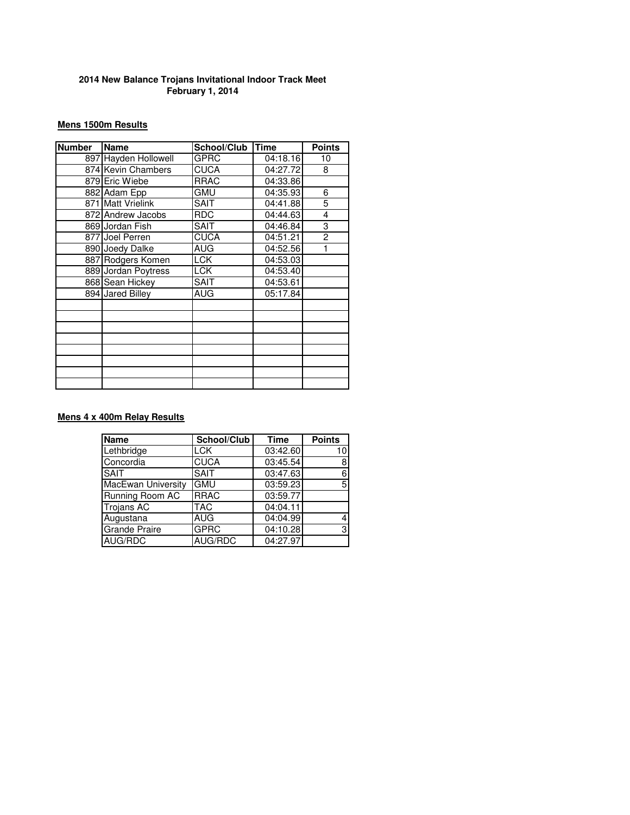## **Mens 1500m Results**

| <b>Number</b> | <b>Name</b>          | School/Club | <b>Time</b> | <b>Points</b>  |  |
|---------------|----------------------|-------------|-------------|----------------|--|
|               | 897 Hayden Hollowell | <b>GPRC</b> | 04:18.16    | 10             |  |
|               | 874 Kevin Chambers   | <b>CUCA</b> | 04:27.72    | 8              |  |
|               | 879 Eric Wiebe       | <b>RRAC</b> | 04:33.86    |                |  |
|               | 882 Adam Epp         | <b>GMU</b>  | 04:35.93    | 6              |  |
|               | 871 Matt Vrielink    | <b>SAIT</b> | 04:41.88    | 5              |  |
|               | 872 Andrew Jacobs    | <b>RDC</b>  | 04:44.63    | 4              |  |
|               | 869 Jordan Fish      | <b>SAIT</b> | 04:46.84    | 3              |  |
|               | 877 Joel Perren      | <b>CUCA</b> | 04:51.21    | $\overline{c}$ |  |
|               | 890 Joedy Dalke      | <b>AUG</b>  | 04:52.56    |                |  |
|               | 887 Rodgers Komen    | <b>LCK</b>  | 04:53.03    |                |  |
|               | 889 Jordan Poytress  | <b>LCK</b>  | 04:53.40    |                |  |
|               | 868 Sean Hickey      | <b>SAIT</b> | 04:53.61    |                |  |
|               | 894 Jared Billey     | <b>AUG</b>  | 05:17.84    |                |  |
|               |                      |             |             |                |  |
|               |                      |             |             |                |  |
|               |                      |             |             |                |  |
|               |                      |             |             |                |  |
|               |                      |             |             |                |  |
|               |                      |             |             |                |  |
|               |                      |             |             |                |  |
|               |                      |             |             |                |  |

## **Mens 4 x 400m Relay Results**

| <b>Name</b>               | School/Club | <b>Time</b> | <b>Points</b> |
|---------------------------|-------------|-------------|---------------|
| Lethbridge                | LCK         | 03:42.60    | 10            |
| Concordia                 | <b>CUCA</b> | 03:45.54    | 8             |
| <b>SAIT</b>               | <b>SAIT</b> | 03:47.63    | 6             |
| <b>MacEwan University</b> | <b>GMU</b>  | 03:59.23    | 5             |
| Running Room AC           | <b>RRAC</b> | 03:59.77    |               |
| <b>Trojans AC</b>         | <b>TAC</b>  | 04:04.11    |               |
| Augustana                 | <b>AUG</b>  | 04:04.99    |               |
| <b>Grande Praire</b>      | <b>GPRC</b> | 04:10.28    | 3             |
| AUG/RDC                   | AUG/RDC     | 04:27.97    |               |